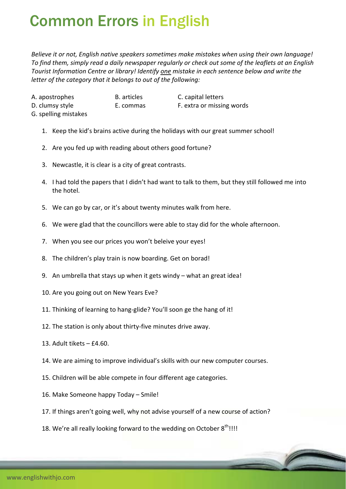## Common Errors in English

*Believe it or not, English native speakers sometimes make mistakes when using their own language!* To find them, simply read a daily newspaper regularly or check out some of the leaflets at an English *Tourist Information Centre or library! Identify one mistake in each sentence below and write the letter of the category that it belongs to out of the following:*

A. apostrophes **B.** articles **C.** capital letters D. clumsy style **E.** commas  **E.** extra or missing words

- G. spelling mistakes
	- 1. Keep the kid's brains active during the holidays with our great summer school!
	- 2. Are you fed up with reading about others good fortune?
	- 3. Newcastle, it is clear is a city of great contrasts.
	- 4. I had told the papers that I didn't had want to talk to them, but they still followed me into the hotel.
	- 5. We can go by car, or it's about twenty minutes walk from here.
	- 6. We were glad that the councillors were able to stay did for the whole afternoon.
	- 7. When you see our prices you won't beleive your eyes!
	- 8. The children's play train is now boarding. Get on borad!
	- 9. An umbrella that stays up when it gets windy what an great idea!
	- 10. Are you going out on New Years Eve?
	- 11. Thinking of learning to hang‐glide? You'll soon ge the hang of it!
	- 12. The station is only about thirty-five minutes drive away.
	- 13. Adult tikets £4.60.
	- 14. We are aiming to improve individual's skills with our new computer courses.
	- 15. Children will be able compete in four different age categories.
	- 16. Make Someone happy Today Smile!
	- 17. If things aren't going well, why not advise yourself of a new course of action?
	- 18. We're all really looking forward to the wedding on October  $8^{th}$ !!!!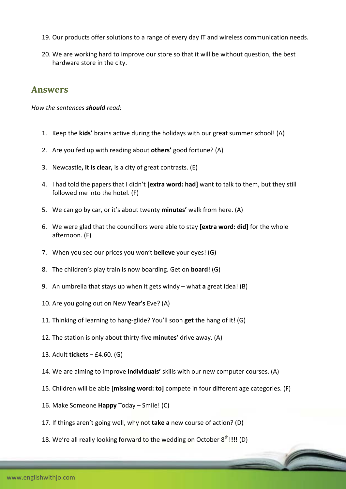- 19. Our products offer solutions to a range of every day IT and wireless communication needs.
- 20. We are working hard to improve our store so that it will be without question, the best hardware store in the city.

## **Answers**

*How the sentences should read:*

- 1. Keep the **kids'** brains active during the holidays with our great summer school! (A)
- 2. Are you fed up with reading about **others'** good fortune? (A)
- 3. Newcastle**, it is clear,** is a city of great contrasts. (E)
- 4. I had told the papers that I didn't **[extra word: had]** want to talk to them, but they still followed me into the hotel. (F)
- 5. We can go by car, or it's about twenty **minutes'** walk from here. (A)
- 6. We were glad that the councillors were able to stay **[extra word: did]** for the whole afternoon. (F)
- 7. When you see our prices you won't **believe** your eyes! (G)
- 8. The children's play train is now boarding. Get on **board**! (G)
- 9. An umbrella that stays up when it gets windy what **a** great idea! (B)
- 10. Are you going out on New **Year's** Eve? (A)
- 11. Thinking of learning to hang‐glide? You'll soon **get** the hang of it! (G)
- 12. The station is only about thirty‐five **minutes'** drive away. (A)
- 13. Adult **tickets** £4.60. (G)
- 14. We are aiming to improve **individuals'** skills with our new computer courses. (A)
- 15. Children will be able **[missing word: to]** compete in four different age categories. (F)
- 16. Make Someone **Happy** Today Smile! (C)
- 17. If things aren't going well, why not **take a** new course of action? (D)
- 18. We're all really looking forward to the wedding on October 8<sup>th</sup>!!!! (D)